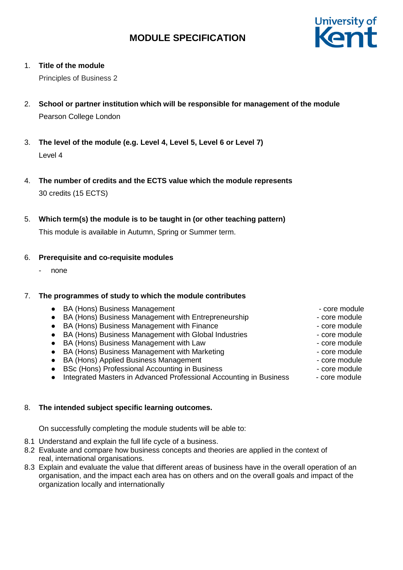

#### 1. **Title of the module**

Principles of Business 2

- 2. **School or partner institution which will be responsible for management of the module** Pearson College London
- 3. **The level of the module (e.g. Level 4, Level 5, Level 6 or Level 7)** Level 4
- 4. **The number of credits and the ECTS value which the module represents** 30 credits (15 ECTS)
- 5. **Which term(s) the module is to be taught in (or other teaching pattern)**

This module is available in Autumn, Spring or Summer term.

### 6. **Prerequisite and co-requisite modules**

- none

#### 7. **The programmes of study to which the module contributes**

| • BA (Hons) Business Management                                                 | - core module |
|---------------------------------------------------------------------------------|---------------|
| BA (Hons) Business Management with Entrepreneurship<br>$\bullet$                | - core module |
| BA (Hons) Business Management with Finance<br>$\bullet$                         | - core module |
| • BA (Hons) Business Management with Global Industries                          | - core module |
| • BA (Hons) Business Management with Law                                        | - core module |
| • BA (Hons) Business Management with Marketing                                  | - core module |
| • BA (Hons) Applied Business Management                                         | - core module |
| BSc (Hons) Professional Accounting in Business<br>$\bullet$                     | - core module |
| Integrated Masters in Advanced Professional Accounting in Business<br>$\bullet$ | - core module |

### 8. **The intended subject specific learning outcomes.**

On successfully completing the module students will be able to:

- 8.1 Understand and explain the full life cycle of a business.
- 8.2 Evaluate and compare how business concepts and theories are applied in the context of real, international organisations.
- 8.3 Explain and evaluate the value that different areas of business have in the overall operation of an organisation, and the impact each area has on others and on the overall goals and impact of the organization locally and internationally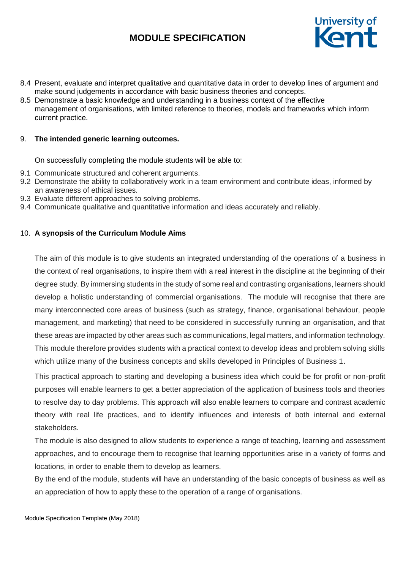

- 8.4 Present, evaluate and interpret qualitative and quantitative data in order to develop lines of argument and make sound judgements in accordance with basic business theories and concepts.
- 8.5 Demonstrate a basic knowledge and understanding in a business context of the effective management of organisations, with limited reference to theories, models and frameworks which inform current practice.

#### 9. **The intended generic learning outcomes.**

On successfully completing the module students will be able to:

- 9.1 Communicate structured and coherent arguments.
- 9.2 Demonstrate the ability to collaboratively work in a team environment and contribute ideas, informed by an awareness of ethical issues.
- 9.3 Evaluate different approaches to solving problems.
- 9.4 Communicate qualitative and quantitative information and ideas accurately and reliably.

### 10. **A synopsis of the Curriculum Module Aims**

The aim of this module is to give students an integrated understanding of the operations of a business in the context of real organisations, to inspire them with a real interest in the discipline at the beginning of their degree study. By immersing students in the study of some real and contrasting organisations, learners should develop a holistic understanding of commercial organisations. The module will recognise that there are many interconnected core areas of business (such as strategy, finance, organisational behaviour, people management, and marketing) that need to be considered in successfully running an organisation, and that these areas are impacted by other areas such as communications, legal matters, and information technology. This module therefore provides students with a practical context to develop ideas and problem solving skills which utilize many of the business concepts and skills developed in Principles of Business 1.

This practical approach to starting and developing a business idea which could be for profit or non-profit purposes will enable learners to get a better appreciation of the application of business tools and theories to resolve day to day problems. This approach will also enable learners to compare and contrast academic theory with real life practices, and to identify influences and interests of both internal and external stakeholders.

The module is also designed to allow students to experience a range of teaching, learning and assessment approaches, and to encourage them to recognise that learning opportunities arise in a variety of forms and locations, in order to enable them to develop as learners.

By the end of the module, students will have an understanding of the basic concepts of business as well as an appreciation of how to apply these to the operation of a range of organisations.

Module Specification Template (May 2018)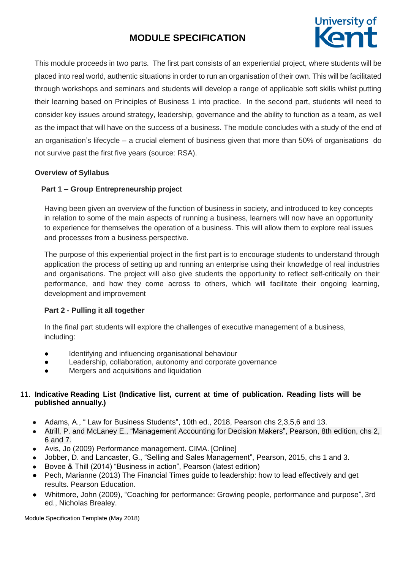

This module proceeds in two parts. The first part consists of an experiential project, where students will be placed into real world, authentic situations in order to run an organisation of their own. This will be facilitated through workshops and seminars and students will develop a range of applicable soft skills whilst putting their learning based on Principles of Business 1 into practice. In the second part, students will need to consider key issues around strategy, leadership, governance and the ability to function as a team, as well as the impact that will have on the success of a business. The module concludes with a study of the end of an organisation's lifecycle – a crucial element of business given that more than 50% of organisations do not survive past the first five years (source: RSA).

## **Overview of Syllabus**

## **Part 1 – Group Entrepreneurship project**

Having been given an overview of the function of business in society, and introduced to key concepts in relation to some of the main aspects of running a business, learners will now have an opportunity to experience for themselves the operation of a business. This will allow them to explore real issues and processes from a business perspective.

The purpose of this experiential project in the first part is to encourage students to understand through application the process of setting up and running an enterprise using their knowledge of real industries and organisations. The project will also give students the opportunity to reflect self-critically on their performance, and how they come across to others, which will facilitate their ongoing learning, development and improvement

### **Part 2 - Pulling it all together**

In the final part students will explore the challenges of executive management of a business, including:

- Identifying and influencing organisational behaviour
- Leadership, collaboration, autonomy and corporate governance
- Mergers and acquisitions and liquidation

## 11. **Indicative Reading List (Indicative list, current at time of publication. Reading lists will be published annually.)**

- Adams, A., " Law for Business Students", 10th ed., 2018, Pearson chs 2,3,5,6 and 13.
- Atrill, P. and McLaney E., "Management Accounting for Decision Makers", Pearson, 8th edition, chs 2, 6 and 7.
- Avis, Jo (2009) Performance management. CIMA. [Online]
- Jobber, D. and Lancaster, G., "Selling and Sales Management", Pearson, 2015, chs 1 and 3.
- Bovee & Thill (2014) "Business in action", Pearson (latest edition)
- Pech, Marianne (2013) The Financial Times guide to leadership: how to lead effectively and get results. Pearson Education.
- Whitmore, John (2009), "Coaching for performance: Growing people, performance and purpose", 3rd ed., Nicholas Brealey.

Module Specification Template (May 2018)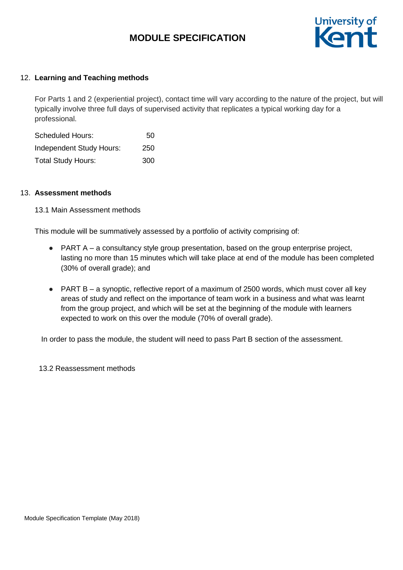

#### 12. **Learning and Teaching methods**

For Parts 1 and 2 (experiential project), contact time will vary according to the nature of the project, but will typically involve three full days of supervised activity that replicates a typical working day for a professional.

| <b>Scheduled Hours:</b>         | 50  |  |  |
|---------------------------------|-----|--|--|
| <b>Independent Study Hours:</b> | 250 |  |  |
| <b>Total Study Hours:</b>       | 300 |  |  |

#### 13. **Assessment methods**

#### 13.1 Main Assessment methods

This module will be summatively assessed by a portfolio of activity comprising of:

- PART A a consultancy style group presentation, based on the group enterprise project, lasting no more than 15 minutes which will take place at end of the module has been completed (30% of overall grade); and
- PART B a synoptic, reflective report of a maximum of 2500 words, which must cover all key areas of study and reflect on the importance of team work in a business and what was learnt from the group project, and which will be set at the beginning of the module with learners expected to work on this over the module (70% of overall grade).

In order to pass the module, the student will need to pass Part B section of the assessment.

13.2 Reassessment methods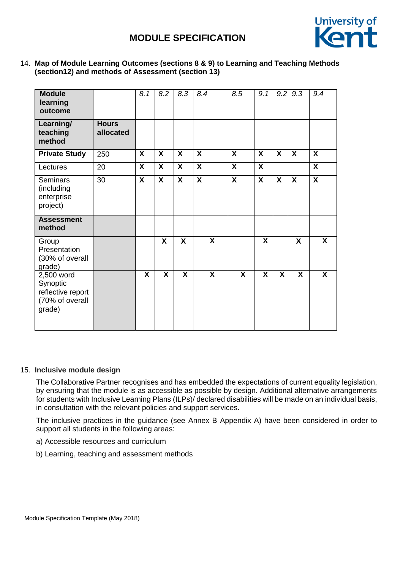

#### 14. **Map of Module Learning Outcomes (sections 8 & 9) to Learning and Teaching Methods (section12) and methods of Assessment (section 13)**

| <b>Module</b><br>learning<br>outcome                                     |                           | 8.1                       | 8.2          | 8.3                       | 8.4                     | 8.5              | 9.1              | 9.2 | 9.3 | 9.4                       |
|--------------------------------------------------------------------------|---------------------------|---------------------------|--------------|---------------------------|-------------------------|------------------|------------------|-----|-----|---------------------------|
| Learning/<br>teaching<br>method                                          | <b>Hours</b><br>allocated |                           |              |                           |                         |                  |                  |     |     |                           |
| <b>Private Study</b>                                                     | 250                       | X                         | X            | $\boldsymbol{X}$          | $\boldsymbol{X}$        | $\boldsymbol{X}$ | $\boldsymbol{X}$ | X   | X   | $\boldsymbol{X}$          |
| Lectures                                                                 | 20                        | X                         | X            | $\boldsymbol{\mathsf{X}}$ | X                       | $\boldsymbol{X}$ | $\boldsymbol{X}$ |     |     | X                         |
| <b>Seminars</b><br>(including<br>enterprise<br>project)                  | 30                        | $\boldsymbol{\mathsf{X}}$ | X            | $\boldsymbol{\mathsf{X}}$ | $\boldsymbol{X}$        | $\mathsf{X}$     | $\boldsymbol{X}$ | X   | X   | $\boldsymbol{\mathsf{X}}$ |
| <b>Assessment</b><br>method                                              |                           |                           |              |                           |                         |                  |                  |     |     |                           |
| Group<br>Presentation<br>(30% of overall<br>grade)                       |                           |                           | X            | X                         | X                       |                  | X                |     | X   | $\mathsf{X}$              |
| 2,500 word<br>Synoptic<br>reflective report<br>(70% of overall<br>grade) |                           | X                         | $\mathsf{X}$ | X                         | $\overline{\mathbf{X}}$ | X                | X                | X   | X   | X                         |

### 15. **Inclusive module design**

The Collaborative Partner recognises and has embedded the expectations of current equality legislation, by ensuring that the module is as accessible as possible by design. Additional alternative arrangements for students with Inclusive Learning Plans (ILPs)/ declared disabilities will be made on an individual basis, in consultation with the relevant policies and support services.

The inclusive practices in the guidance (see Annex B Appendix A) have been considered in order to support all students in the following areas:

- a) Accessible resources and curriculum
- b) Learning, teaching and assessment methods